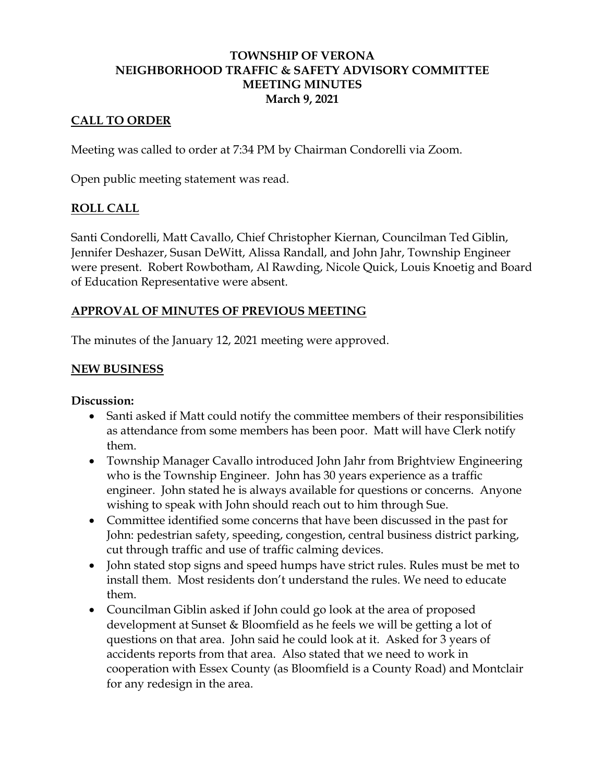### **TOWNSHIP OF VERONA NEIGHBORHOOD TRAFFIC & SAFETY ADVISORY COMMITTEE MEETING MINUTES March 9, 2021**

## **CALL TO ORDER**

Meeting was called to order at 7:34 PM by Chairman Condorelli via Zoom.

Open public meeting statement was read.

## **ROLL CALL**

Santi Condorelli, Matt Cavallo, Chief Christopher Kiernan, Councilman Ted Giblin, Jennifer Deshazer, Susan DeWitt, Alissa Randall, and John Jahr, Township Engineer were present. Robert Rowbotham, Al Rawding, Nicole Quick, Louis Knoetig and Board of Education Representative were absent.

# **APPROVAL OF MINUTES OF PREVIOUS MEETING**

The minutes of the January 12, 2021 meeting were approved.

## **NEW BUSINESS**

**Discussion:**

- Santi asked if Matt could notify the committee members of their responsibilities as attendance from some members has been poor. Matt will have Clerk notify them.
- Township Manager Cavallo introduced John Jahr from Brightview Engineering who is the Township Engineer. John has 30 years experience as a traffic engineer. John stated he is always available for questions or concerns. Anyone wishing to speak with John should reach out to him through Sue.
- Committee identified some concerns that have been discussed in the past for John: pedestrian safety, speeding, congestion, central business district parking, cut through traffic and use of traffic calming devices.
- John stated stop signs and speed humps have strict rules. Rules must be met to install them. Most residents don't understand the rules. We need to educate them.
- Councilman Giblin asked if John could go look at the area of proposed development at Sunset & Bloomfield as he feels we will be getting a lot of questions on that area. John said he could look at it. Asked for 3 years of accidents reports from that area. Also stated that we need to work in cooperation with Essex County (as Bloomfield is a County Road) and Montclair for any redesign in the area.